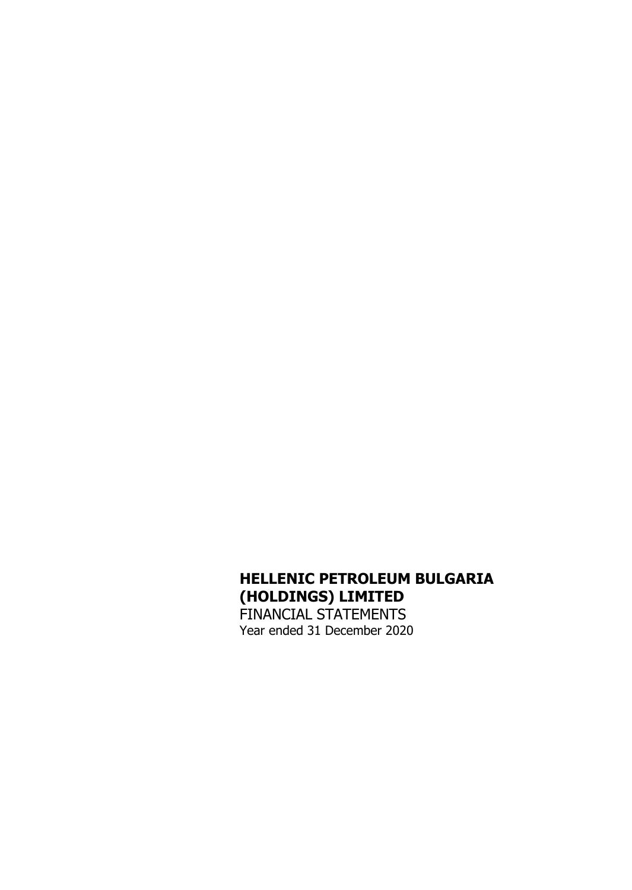# **HELLENIC PETROLEUM BULGARIA (HOLDINGS) LIMITED** FINANCIAL STATEMENTS

Year ended 31 December 2020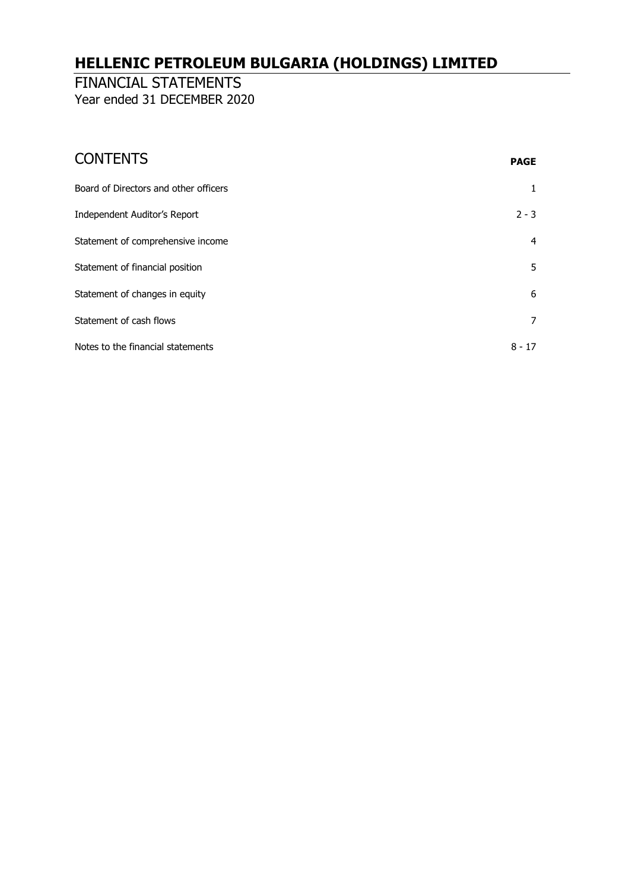FINANCIAL STATEMENTS

Year ended 31 DECEMBER 2020

| <b>CONTENTS</b>                       | <b>PAGE</b>    |
|---------------------------------------|----------------|
| Board of Directors and other officers | 1              |
| Independent Auditor's Report          | $2 - 3$        |
| Statement of comprehensive income     | $\overline{4}$ |
| Statement of financial position       | 5              |
| Statement of changes in equity        | 6              |
| Statement of cash flows               | 7              |
| Notes to the financial statements     | $8 - 17$       |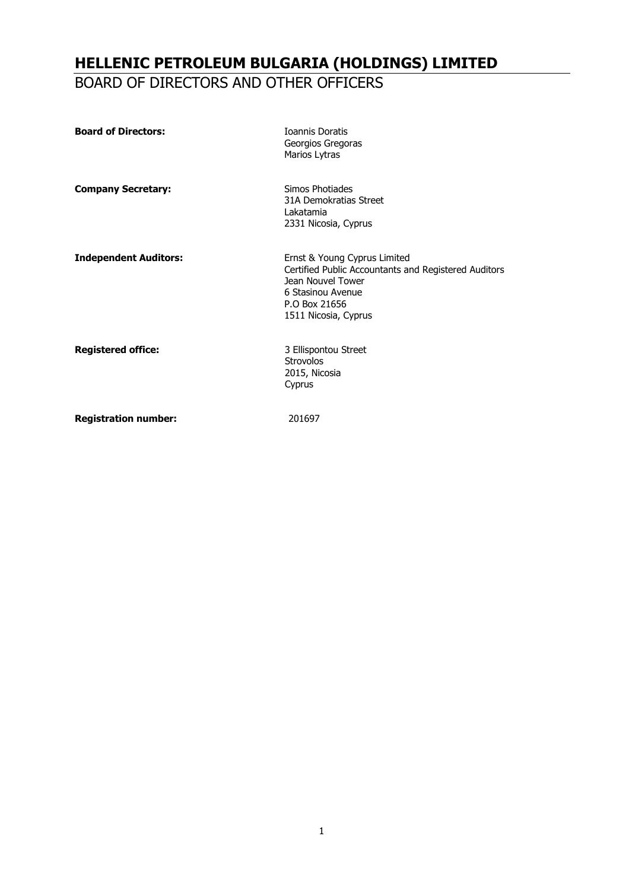### BOARD OF DIRECTORS AND OTHER OFFICERS

| <b>Board of Directors:</b>   | Ioannis Doratis<br>Georgios Gregoras<br>Marios Lytras                                                                                                                   |
|------------------------------|-------------------------------------------------------------------------------------------------------------------------------------------------------------------------|
| <b>Company Secretary:</b>    | Simos Photiades<br>31A Demokratias Street<br>Lakatamia<br>2331 Nicosia, Cyprus                                                                                          |
| <b>Independent Auditors:</b> | Ernst & Young Cyprus Limited<br>Certified Public Accountants and Registered Auditors<br>Jean Nouvel Tower<br>6 Stasinou Avenue<br>P.O Box 21656<br>1511 Nicosia, Cyprus |
| <b>Registered office:</b>    | 3 Ellispontou Street<br>Strovolos<br>2015, Nicosia<br>Cyprus                                                                                                            |
| <b>Registration number:</b>  | 201697                                                                                                                                                                  |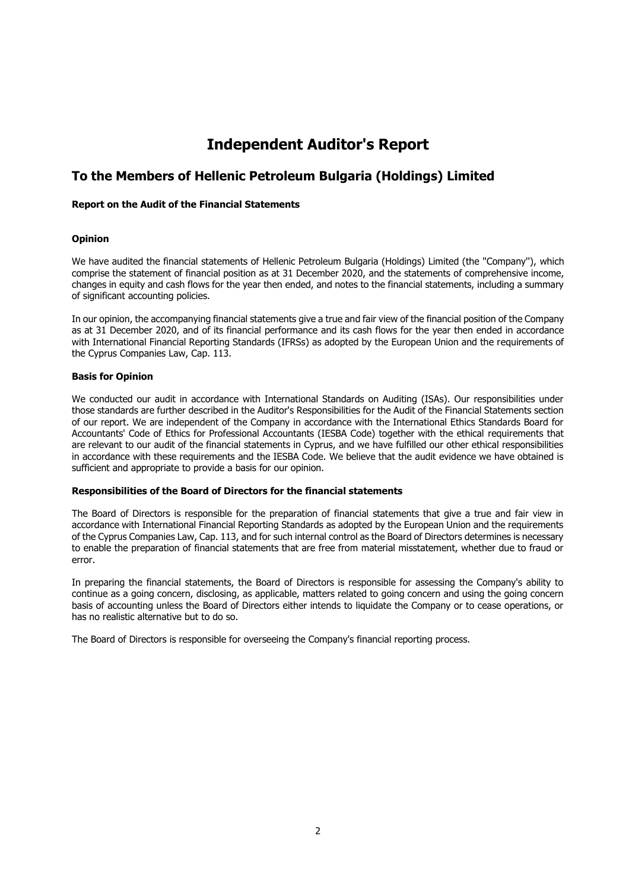### **Independent Auditor's Report**

### **To the Members of Hellenic Petroleum Bulgaria (Holdings) Limited**

#### **Report on the Audit of the Financial Statements**

#### **Opinion**

We have audited the financial statements of Hellenic Petroleum Bulgaria (Holdings) Limited (the ''Company''), which comprise the statement of financial position as at 31 December 2020, and the statements of comprehensive income, changes in equity and cash flows for the year then ended, and notes to the financial statements, including a summary of significant accounting policies.

In our opinion, the accompanying financial statements give a true and fair view of the financial position of the Company as at 31 December 2020, and of its financial performance and its cash flows for the year then ended in accordance with International Financial Reporting Standards (IFRSs) as adopted by the European Union and the requirements of the Cyprus Companies Law, Cap. 113.

#### **Basis for Opinion**

We conducted our audit in accordance with International Standards on Auditing (ISAs). Our responsibilities under those standards are further described in the Auditor's Responsibilities for the Audit of the Financial Statements section of our report. We are independent of the Company in accordance with the International Ethics Standards Board for Accountants' Code of Ethics for Professional Accountants (IESBA Code) together with the ethical requirements that are relevant to our audit of the financial statements in Cyprus, and we have fulfilled our other ethical responsibilities in accordance with these requirements and the IESBA Code. We believe that the audit evidence we have obtained is sufficient and appropriate to provide a basis for our opinion.

#### **Responsibilities of the Board of Directors for the financial statements**

The Board of Directors is responsible for the preparation of financial statements that give a true and fair view in accordance with International Financial Reporting Standards as adopted by the European Union and the requirements of the Cyprus Companies Law, Cap. 113, and for such internal control as the Board of Directors determines is necessary to enable the preparation of financial statements that are free from material misstatement, whether due to fraud or error.

In preparing the financial statements, the Board of Directors is responsible for assessing the Company's ability to continue as a going concern, disclosing, as applicable, matters related to going concern and using the going concern basis of accounting unless the Board of Directors either intends to liquidate the Company or to cease operations, or has no realistic alternative but to do so.

The Board of Directors is responsible for overseeing the Company's financial reporting process.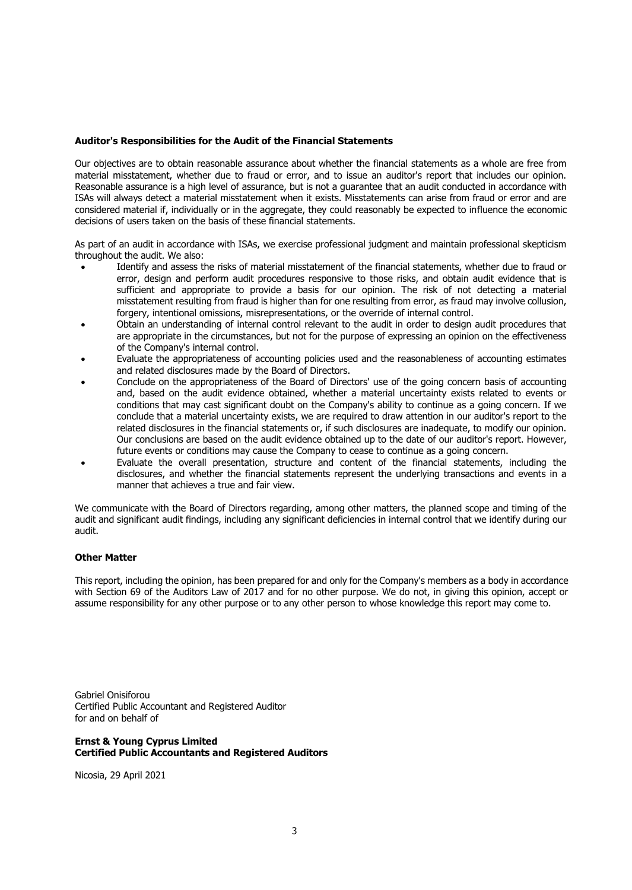#### **Auditor's Responsibilities for the Audit of the Financial Statements**

Our objectives are to obtain reasonable assurance about whether the financial statements as a whole are free from material misstatement, whether due to fraud or error, and to issue an auditor's report that includes our opinion. Reasonable assurance is a high level of assurance, but is not a guarantee that an audit conducted in accordance with ISAs will always detect a material misstatement when it exists. Misstatements can arise from fraud or error and are considered material if, individually or in the aggregate, they could reasonably be expected to influence the economic decisions of users taken on the basis of these financial statements.

As part of an audit in accordance with ISAs, we exercise professional judgment and maintain professional skepticism throughout the audit. We also:

- Identify and assess the risks of material misstatement of the financial statements, whether due to fraud or error, design and perform audit procedures responsive to those risks, and obtain audit evidence that is sufficient and appropriate to provide a basis for our opinion. The risk of not detecting a material misstatement resulting from fraud is higher than for one resulting from error, as fraud may involve collusion, forgery, intentional omissions, misrepresentations, or the override of internal control.
- Obtain an understanding of internal control relevant to the audit in order to design audit procedures that are appropriate in the circumstances, but not for the purpose of expressing an opinion on the effectiveness of the Company's internal control.
- Evaluate the appropriateness of accounting policies used and the reasonableness of accounting estimates and related disclosures made by the Board of Directors.
- Conclude on the appropriateness of the Board of Directors' use of the going concern basis of accounting and, based on the audit evidence obtained, whether a material uncertainty exists related to events or conditions that may cast significant doubt on the Company's ability to continue as a going concern. If we conclude that a material uncertainty exists, we are required to draw attention in our auditor's report to the related disclosures in the financial statements or, if such disclosures are inadequate, to modify our opinion. Our conclusions are based on the audit evidence obtained up to the date of our auditor's report. However, future events or conditions may cause the Company to cease to continue as a going concern.
- Evaluate the overall presentation, structure and content of the financial statements, including the disclosures, and whether the financial statements represent the underlying transactions and events in a manner that achieves a true and fair view.

We communicate with the Board of Directors regarding, among other matters, the planned scope and timing of the audit and significant audit findings, including any significant deficiencies in internal control that we identify during our audit.

#### **Other Matter**

This report, including the opinion, has been prepared for and only for the Company's members as a body in accordance with Section 69 of the Auditors Law of 2017 and for no other purpose. We do not, in giving this opinion, accept or assume responsibility for any other purpose or to any other person to whose knowledge this report may come to.

Gabriel Onisiforou Certified Public Accountant and Registered Auditor for and on behalf of

**Ernst & Young Cyprus Limited Certified Public Accountants and Registered Auditors**

Nicosia, 29 April 2021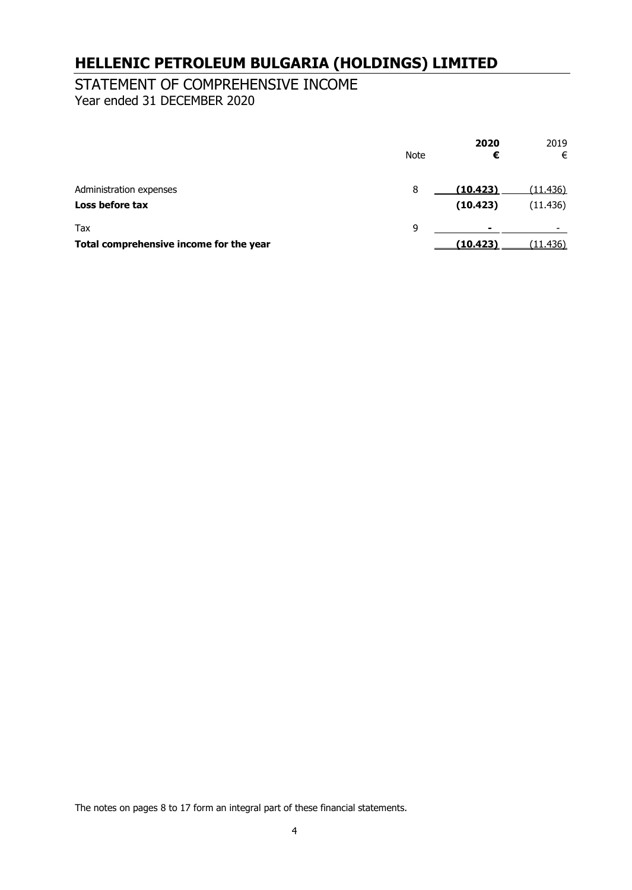### STATEMENT OF COMPREHENSIVE INCOME Year ended 31 DECEMBER 2020

|                                         | <b>Note</b> | 2020<br>€ | 2019<br>€ |
|-----------------------------------------|-------------|-----------|-----------|
| Administration expenses                 | 8           | (10.423)  | (11.436)  |
| Loss before tax                         |             | (10.423)  | (11.436)  |
| Tax                                     | 9           |           |           |
| Total comprehensive income for the year |             | (10.423)  | (11.436)  |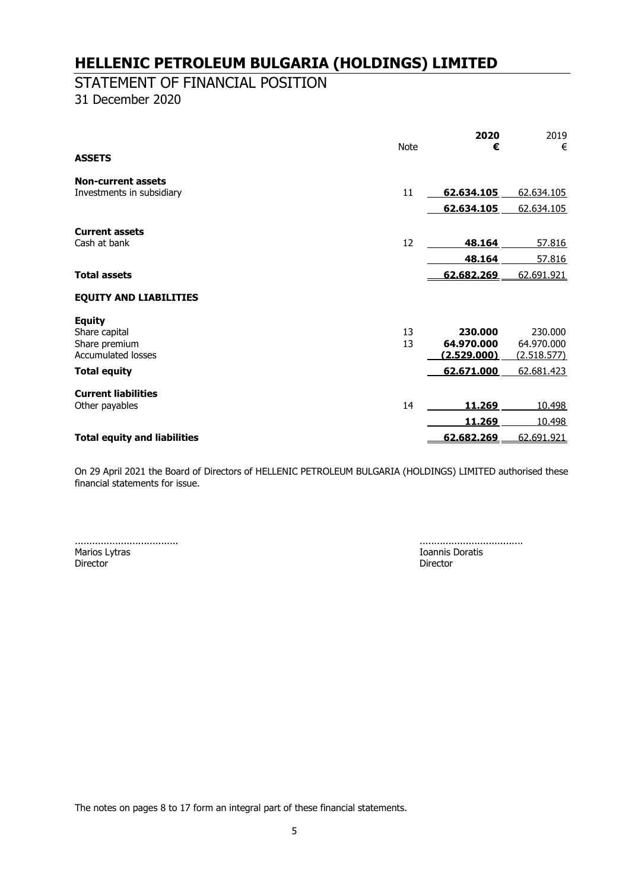# STATEMENT OF FINANCIAL POSITION

31 December 2020

|                                            |             | 2020                      | 2019                      |
|--------------------------------------------|-------------|---------------------------|---------------------------|
| <b>ASSETS</b>                              | <b>Note</b> | €                         | €                         |
| <b>Non-current assets</b>                  |             |                           |                           |
| Investments in subsidiary                  | 11          | 62.634.105                | 62.634.105                |
|                                            |             | 62.634.105                | 62.634.105                |
| <b>Current assets</b>                      |             |                           |                           |
| Cash at bank                               | 12          | 48.164                    | 57.816                    |
|                                            |             | 48.164                    | 57.816                    |
| <b>Total assets</b>                        |             | 62.682.269                | 62.691.921                |
| <b>EQUITY AND LIABILITIES</b>              |             |                           |                           |
| <b>Equity</b>                              |             |                           |                           |
| Share capital                              | 13          | 230,000                   | 230,000                   |
| Share premium<br><b>Accumulated losses</b> | 13          | 64.970.000<br>(2.529.000) | 64.970.000<br>(2.518.577) |
| <b>Total equity</b>                        |             | 62.671.000                | 62.681.423                |
| <b>Current liabilities</b>                 |             |                           |                           |
| Other payables                             | 14          | 11.269                    | 10.498                    |
|                                            |             | <u>11.269</u>             | 10.498                    |
| <b>Total equity and liabilities</b>        |             | 62.682.269                | 62.691.921                |

On 29 April 2021 the Board of Directors of HELLENIC PETROLEUM BULGARIA (HOLDINGS) LIMITED authorised these financial statements for issue.

Marios Lytras **Ioannis Doratis** Ioannis Doratis **Ioannis Doratis** Director Director

.................................... ....................................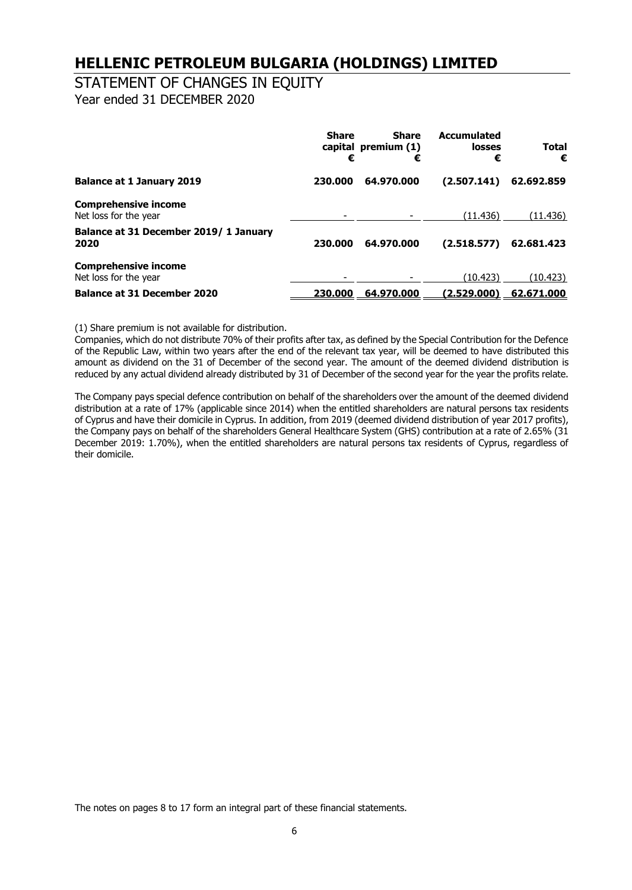STATEMENT OF CHANGES IN EQUITY Year ended 31 DECEMBER 2020

|                                                      | <b>Share</b><br>€ | <b>Share</b><br>capital premium (1)<br>€ | <b>Accumulated</b><br>losses<br>€ | <b>Total</b><br>€ |
|------------------------------------------------------|-------------------|------------------------------------------|-----------------------------------|-------------------|
| <b>Balance at 1 January 2019</b>                     | 230.000           | 64.970.000                               | (2.507.141)                       | 62.692.859        |
| <b>Comprehensive income</b><br>Net loss for the year |                   |                                          | (11.436)                          | (11.436)          |
| Balance at 31 December 2019/1 January<br>2020        | 230.000           | 64.970.000                               | (2.518.577)                       | 62.681.423        |
| <b>Comprehensive income</b><br>Net loss for the year |                   |                                          | (10.423)                          | (10.423)          |
| <b>Balance at 31 December 2020</b>                   | 230.000           | 64.970.000                               | (2.529.000)                       | 62.671.000        |

(1) Share premium is not available for distribution.

Companies, which do not distribute 70% of their profits after tax, as defined by the Special Contribution for the Defence of the Republic Law, within two years after the end of the relevant tax year, will be deemed to have distributed this amount as dividend on the 31 of December of the second year. The amount of the deemed dividend distribution is reduced by any actual dividend already distributed by 31 of December of the second year for the year the profits relate.

The Company pays special defence contribution on behalf of the shareholders over the amount of the deemed dividend distribution at a rate of 17% (applicable since 2014) when the entitled shareholders are natural persons tax residents of Cyprus and have their domicile in Cyprus. In addition, from 2019 (deemed dividend distribution of year 2017 profits), the Company pays on behalf of the shareholders General Healthcare System (GHS) contribution at a rate of 2.65% (31 December 2019: 1.70%), when the entitled shareholders are natural persons tax residents of Cyprus, regardless of their domicile.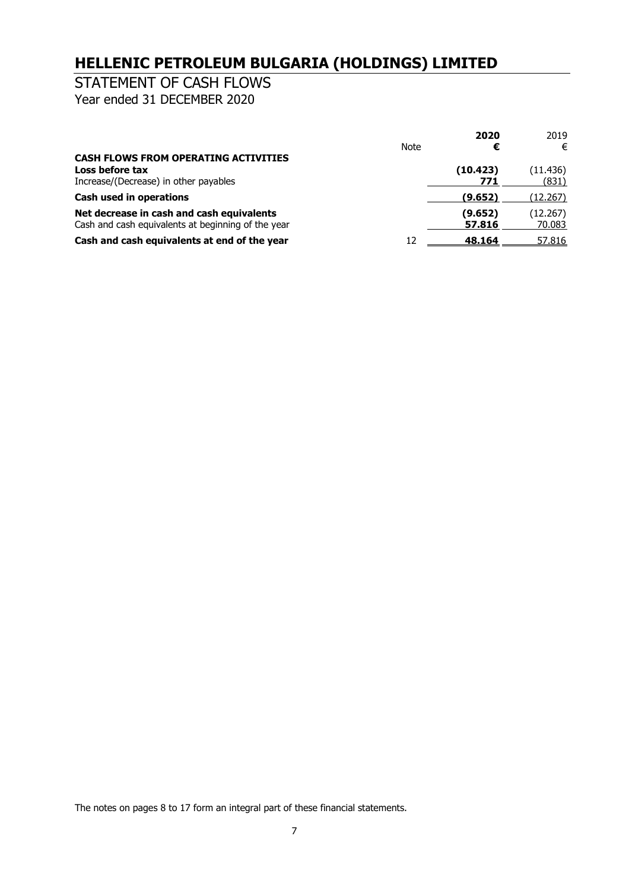STATEMENT OF CASH FLOWS

Year ended 31 DECEMBER 2020

|                                                                                                 | <b>Note</b> | 2020<br>€         | 2019<br>€          |
|-------------------------------------------------------------------------------------------------|-------------|-------------------|--------------------|
| <b>CASH FLOWS FROM OPERATING ACTIVITIES</b>                                                     |             |                   |                    |
| Loss before tax<br>Increase/(Decrease) in other payables                                        |             | (10.423)<br>771   | (11.436)<br>(831)  |
| Cash used in operations                                                                         |             | (9.652)           | (12.267)           |
| Net decrease in cash and cash equivalents<br>Cash and cash equivalents at beginning of the year |             | (9.652)<br>57.816 | (12.267)<br>70.083 |
| Cash and cash equivalents at end of the year                                                    | 12          | 48.164            | 57.816             |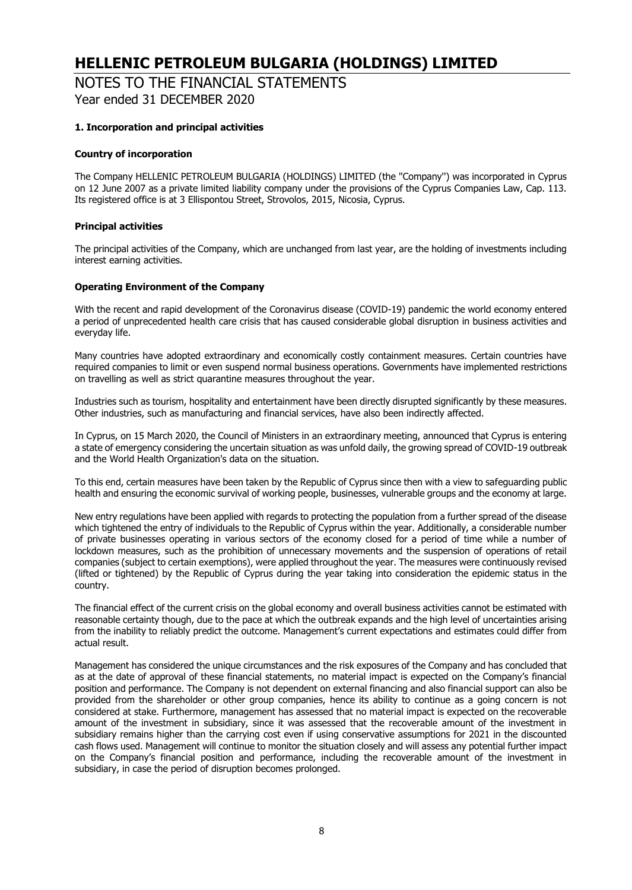NOTES TO THE FINANCIAL STATEMENTS

Year ended 31 DECEMBER 2020

#### **1. Incorporation and principal activities**

#### **Country of incorporation**

The Company HELLENIC PETROLEUM BULGARIA (HOLDINGS) LIMITED (the ''Company'') was incorporated in Cyprus on 12 June 2007 as a private limited liability company under the provisions of the Cyprus Companies Law, Cap. 113. Its registered office is at 3 Ellispontou Street, Strovolos, 2015, Nicosia, Cyprus.

#### **Principal activities**

The principal activities of the Company, which are unchanged from last year, are the holding of investments including interest earning activities.

#### **Operating Environment of the Company**

With the recent and rapid development of the Coronavirus disease (COVID-19) pandemic the world economy entered a period of unprecedented health care crisis that has caused considerable global disruption in business activities and everyday life.

Many countries have adopted extraordinary and economically costly containment measures. Certain countries have required companies to limit or even suspend normal business operations. Governments have implemented restrictions on travelling as well as strict quarantine measures throughout the year.

Industries such as tourism, hospitality and entertainment have been directly disrupted significantly by these measures. Other industries, such as manufacturing and financial services, have also been indirectly affected.

In Cyprus, on 15 March 2020, the Council of Ministers in an extraordinary meeting, announced that Cyprus is entering a state of emergency considering the uncertain situation as was unfold daily, the growing spread of COVID-19 outbreak and the World Health Organization's data on the situation.

To this end, certain measures have been taken by the Republic of Cyprus since then with a view to safeguarding public health and ensuring the economic survival of working people, businesses, vulnerable groups and the economy at large.

New entry regulations have been applied with regards to protecting the population from a further spread of the disease which tightened the entry of individuals to the Republic of Cyprus within the year. Additionally, a considerable number of private businesses operating in various sectors of the economy closed for a period of time while a number of lockdown measures, such as the prohibition of unnecessary movements and the suspension of operations of retail companies (subject to certain exemptions), were applied throughout the year. The measures were continuously revised (lifted or tightened) by the Republic of Cyprus during the year taking into consideration the epidemic status in the country.

The financial effect of the current crisis on the global economy and overall business activities cannot be estimated with reasonable certainty though, due to the pace at which the outbreak expands and the high level of uncertainties arising from the inability to reliably predict the outcome. Management's current expectations and estimates could differ from actual result.

Management has considered the unique circumstances and the risk exposures of the Company and has concluded that as at the date of approval of these financial statements, no material impact is expected on the Company's financial position and performance. The Company is not dependent on external financing and also financial support can also be provided from the shareholder or other group companies, hence its ability to continue as a going concern is not considered at stake. Furthermore, management has assessed that no material impact is expected on the recoverable amount of the investment in subsidiary, since it was assessed that the recoverable amount of the investment in subsidiary remains higher than the carrying cost even if using conservative assumptions for 2021 in the discounted cash flows used. Management will continue to monitor the situation closely and will assess any potential further impact on the Company's financial position and performance, including the recoverable amount of the investment in subsidiary, in case the period of disruption becomes prolonged.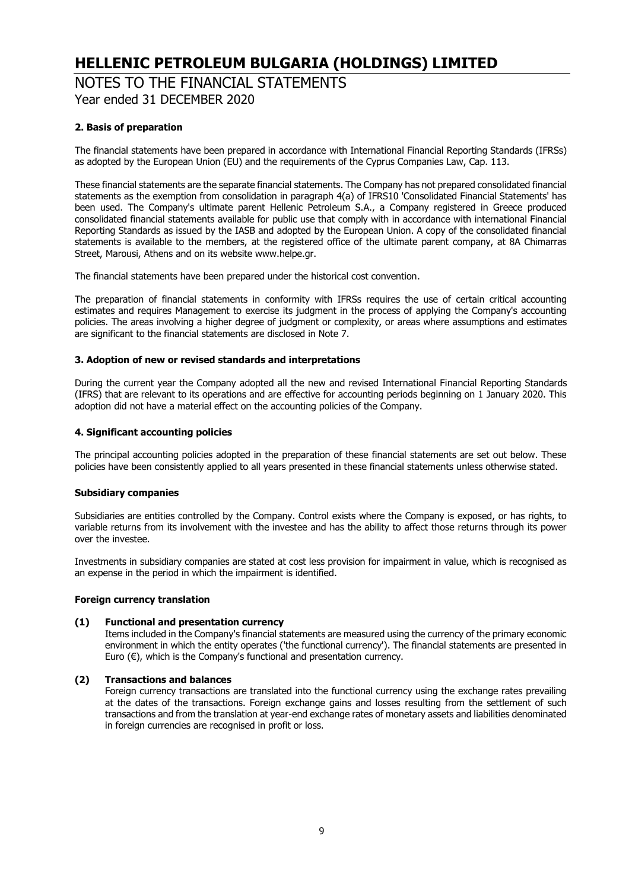NOTES TO THE FINANCIAL STATEMENTS Year ended 31 DECEMBER 2020

#### **2. Basis of preparation**

The financial statements have been prepared in accordance with International Financial Reporting Standards (IFRSs) as adopted by the European Union (EU) and the requirements of the Cyprus Companies Law, Cap. 113.

These financial statements are the separate financial statements. The Company has not prepared consolidated financial statements as the exemption from consolidation in paragraph 4(a) of IFRS10 'Consolidated Financial Statements' has been used. The Company's ultimate parent Hellenic Petroleum S.A., a Company registered in Greece produced consolidated financial statements available for public use that comply with in accordance with international Financial Reporting Standards as issued by the IASB and adopted by the European Union. A copy of the consolidated financial statements is available to the members, at the registered office of the ultimate parent company, at 8A Chimarras Street, Marousi, Athens and on its website www.helpe.gr.

The financial statements have been prepared under the historical cost convention.

The preparation of financial statements in conformity with IFRSs requires the use of certain critical accounting estimates and requires Management to exercise its judgment in the process of applying the Company's accounting policies. The areas involving a higher degree of judgment or complexity, or areas where assumptions and estimates are significant to the financial statements are disclosed in Note 7.

#### **3. Adoption of new or revised standards and interpretations**

During the current year the Company adopted all the new and revised International Financial Reporting Standards (IFRS) that are relevant to its operations and are effective for accounting periods beginning on 1 January 2020. This adoption did not have a material effect on the accounting policies of the Company.

#### **4. Significant accounting policies**

The principal accounting policies adopted in the preparation of these financial statements are set out below. These policies have been consistently applied to all years presented in these financial statements unless otherwise stated.

#### **Subsidiary companies**

Subsidiaries are entities controlled by the Company. Control exists where the Company is exposed, or has rights, to variable returns from its involvement with the investee and has the ability to affect those returns through its power over the investee.

Investments in subsidiary companies are stated at cost less provision for impairment in value, which is recognised as an expense in the period in which the impairment is identified.

#### **Foreign currency translation**

#### **(1) Functional and presentation currency**

Items included in the Company's financial statements are measured using the currency of the primary economic environment in which the entity operates ('the functional currency'). The financial statements are presented in Euro  $(\epsilon)$ , which is the Company's functional and presentation currency.

#### **(2) Transactions and balances**

Foreign currency transactions are translated into the functional currency using the exchange rates prevailing at the dates of the transactions. Foreign exchange gains and losses resulting from the settlement of such transactions and from the translation at year-end exchange rates of monetary assets and liabilities denominated in foreign currencies are recognised in profit or loss.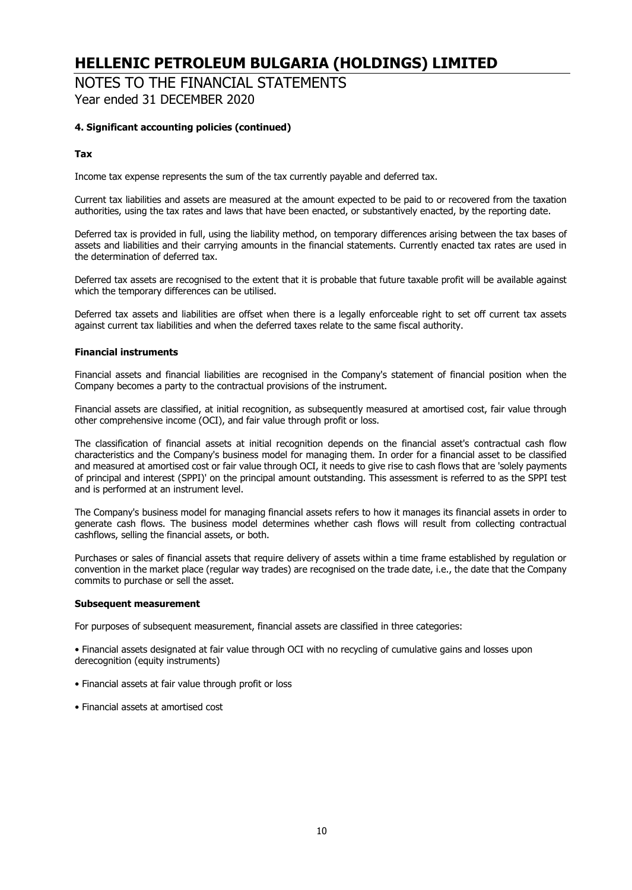NOTES TO THE FINANCIAL STATEMENTS

Year ended 31 DECEMBER 2020

#### **4. Significant accounting policies (continued)**

#### **Tax**

Income tax expense represents the sum of the tax currently payable and deferred tax.

Current tax liabilities and assets are measured at the amount expected to be paid to or recovered from the taxation authorities, using the tax rates and laws that have been enacted, or substantively enacted, by the reporting date.

Deferred tax is provided in full, using the liability method, on temporary differences arising between the tax bases of assets and liabilities and their carrying amounts in the financial statements. Currently enacted tax rates are used in the determination of deferred tax.

Deferred tax assets are recognised to the extent that it is probable that future taxable profit will be available against which the temporary differences can be utilised.

Deferred tax assets and liabilities are offset when there is a legally enforceable right to set off current tax assets against current tax liabilities and when the deferred taxes relate to the same fiscal authority.

#### **Financial instruments**

Financial assets and financial liabilities are recognised in the Company's statement of financial position when the Company becomes a party to the contractual provisions of the instrument.

Financial assets are classified, at initial recognition, as subsequently measured at amortised cost, fair value through other comprehensive income (OCI), and fair value through profit or loss.

The classification of financial assets at initial recognition depends on the financial asset's contractual cash flow characteristics and the Company's business model for managing them. In order for a financial asset to be classified and measured at amortised cost or fair value through OCI, it needs to give rise to cash flows that are 'solely payments of principal and interest (SPPI)' on the principal amount outstanding. This assessment is referred to as the SPPI test and is performed at an instrument level.

The Company's business model for managing financial assets refers to how it manages its financial assets in order to generate cash flows. The business model determines whether cash flows will result from collecting contractual cashflows, selling the financial assets, or both.

Purchases or sales of financial assets that require delivery of assets within a time frame established by regulation or convention in the market place (regular way trades) are recognised on the trade date, i.e., the date that the Company commits to purchase or sell the asset.

#### **Subsequent measurement**

For purposes of subsequent measurement, financial assets are classified in three categories:

• Financial assets designated at fair value through OCI with no recycling of cumulative gains and losses upon derecognition (equity instruments)

- Financial assets at fair value through profit or loss
- Financial assets at amortised cost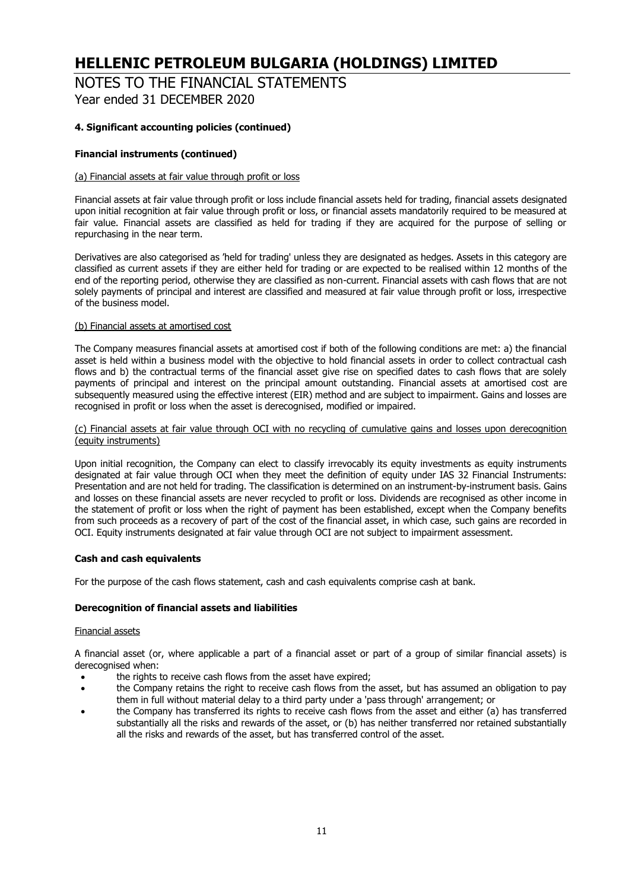NOTES TO THE FINANCIAL STATEMENTS

Year ended 31 DECEMBER 2020

#### **4. Significant accounting policies (continued)**

#### **Financial instruments (continued)**

#### (a) Financial assets at fair value through profit or loss

Financial assets at fair value through profit or loss include financial assets held for trading, financial assets designated upon initial recognition at fair value through profit or loss, or financial assets mandatorily required to be measured at fair value. Financial assets are classified as held for trading if they are acquired for the purpose of selling or repurchasing in the near term.

Derivatives are also categorised as 'held for trading' unless they are designated as hedges. Assets in this category are classified as current assets if they are either held for trading or are expected to be realised within 12 months of the end of the reporting period, otherwise they are classified as non-current. Financial assets with cash flows that are not solely payments of principal and interest are classified and measured at fair value through profit or loss, irrespective of the business model.

#### (b) Financial assets at amortised cost

The Company measures financial assets at amortised cost if both of the following conditions are met: a) the financial asset is held within a business model with the objective to hold financial assets in order to collect contractual cash flows and b) the contractual terms of the financial asset give rise on specified dates to cash flows that are solely payments of principal and interest on the principal amount outstanding. Financial assets at amortised cost are subsequently measured using the effective interest (EIR) method and are subject to impairment. Gains and losses are recognised in profit or loss when the asset is derecognised, modified or impaired.

#### (c) Financial assets at fair value through OCI with no recycling of cumulative gains and losses upon derecognition (equity instruments)

Upon initial recognition, the Company can elect to classify irrevocably its equity investments as equity instruments designated at fair value through OCI when they meet the definition of equity under IAS 32 Financial Instruments: Presentation and are not held for trading. The classification is determined on an instrument-by-instrument basis. Gains and losses on these financial assets are never recycled to profit or loss. Dividends are recognised as other income in the statement of profit or loss when the right of payment has been established, except when the Company benefits from such proceeds as a recovery of part of the cost of the financial asset, in which case, such gains are recorded in OCI. Equity instruments designated at fair value through OCI are not subject to impairment assessment.

#### **Cash and cash equivalents**

For the purpose of the cash flows statement, cash and cash equivalents comprise cash at bank.

#### **Derecognition of financial assets and liabilities**

#### Financial assets

A financial asset (or, where applicable a part of a financial asset or part of a group of similar financial assets) is derecognised when:

- the rights to receive cash flows from the asset have expired:
- the Company retains the right to receive cash flows from the asset, but has assumed an obligation to pay them in full without material delay to a third party under a 'pass through' arrangement; or
- the Company has transferred its rights to receive cash flows from the asset and either (a) has transferred substantially all the risks and rewards of the asset, or (b) has neither transferred nor retained substantially all the risks and rewards of the asset, but has transferred control of the asset.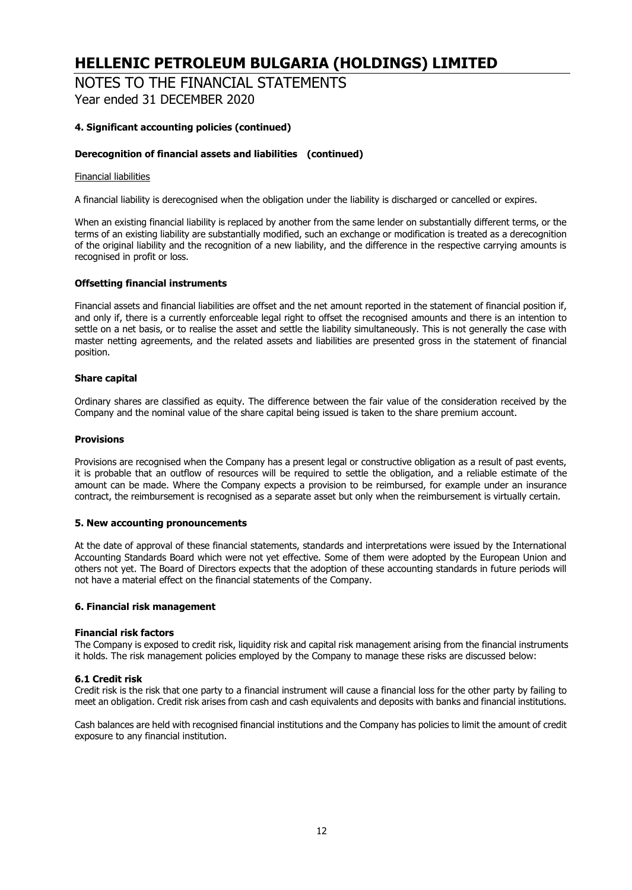NOTES TO THE FINANCIAL STATEMENTS

Year ended 31 DECEMBER 2020

#### **4. Significant accounting policies (continued)**

#### **Derecognition of financial assets and liabilities (continued)**

#### Financial liabilities

A financial liability is derecognised when the obligation under the liability is discharged or cancelled or expires.

When an existing financial liability is replaced by another from the same lender on substantially different terms, or the terms of an existing liability are substantially modified, such an exchange or modification is treated as a derecognition of the original liability and the recognition of a new liability, and the difference in the respective carrying amounts is recognised in profit or loss.

#### **Offsetting financial instruments**

Financial assets and financial liabilities are offset and the net amount reported in the statement of financial position if, and only if, there is a currently enforceable legal right to offset the recognised amounts and there is an intention to settle on a net basis, or to realise the asset and settle the liability simultaneously. This is not generally the case with master netting agreements, and the related assets and liabilities are presented gross in the statement of financial position.

#### **Share capital**

Ordinary shares are classified as equity. The difference between the fair value of the consideration received by the Company and the nominal value of the share capital being issued is taken to the share premium account.

#### **Provisions**

Provisions are recognised when the Company has a present legal or constructive obligation as a result of past events, it is probable that an outflow of resources will be required to settle the obligation, and a reliable estimate of the amount can be made. Where the Company expects a provision to be reimbursed, for example under an insurance contract, the reimbursement is recognised as a separate asset but only when the reimbursement is virtually certain.

#### **5. New accounting pronouncements**

At the date of approval of these financial statements, standards and interpretations were issued by the International Accounting Standards Board which were not yet effective. Some of them were adopted by the European Union and others not yet. The Board of Directors expects that the adoption of these accounting standards in future periods will not have a material effect on the financial statements of the Company.

#### **6. Financial risk management**

#### **Financial risk factors**

The Company is exposed to credit risk, liquidity risk and capital risk management arising from the financial instruments it holds. The risk management policies employed by the Company to manage these risks are discussed below:

#### **6.1 Credit risk**

Credit risk is the risk that one party to a financial instrument will cause a financial loss for the other party by failing to meet an obligation. Credit risk arises from cash and cash equivalents and deposits with banks and financial institutions.

Cash balances are held with recognised financial institutions and the Company has policies to limit the amount of credit exposure to any financial institution.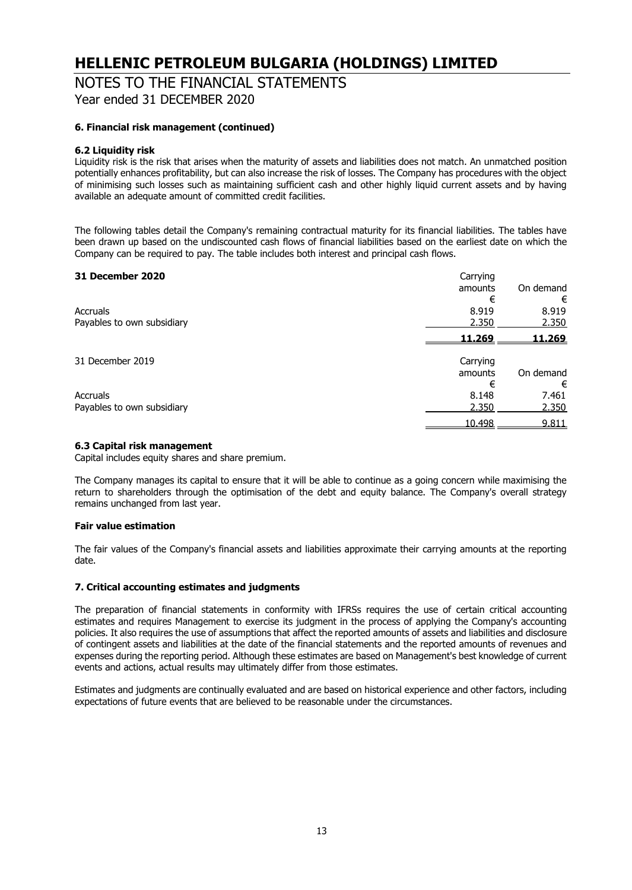NOTES TO THE FINANCIAL STATEMENTS

Year ended 31 DECEMBER 2020

#### **6. Financial risk management (continued)**

#### **6.2 Liquidity risk**

Liquidity risk is the risk that arises when the maturity of assets and liabilities does not match. An unmatched position potentially enhances profitability, but can also increase the risk of losses. The Company has procedures with the object of minimising such losses such as maintaining sufficient cash and other highly liquid current assets and by having available an adequate amount of committed credit facilities.

The following tables detail the Company's remaining contractual maturity for its financial liabilities. The tables have been drawn up based on the undiscounted cash flows of financial liabilities based on the earliest date on which the Company can be required to pay. The table includes both interest and principal cash flows.

| 31 December 2020           | Carrying      |               |
|----------------------------|---------------|---------------|
|                            | amounts       | On demand     |
|                            | €             | €             |
| Accruals                   | 8.919         | 8.919         |
| Payables to own subsidiary | 2.350         | 2.350         |
|                            | <u>11.269</u> | <u>11.269</u> |
| 31 December 2019           | Carrying      |               |
|                            | amounts       | On demand     |
|                            | €             | €             |
| Accruals                   | 8.148         | 7.461         |
| Payables to own subsidiary | 2.350         | 2.350         |
|                            | 10.498        | 9.811         |

#### **6.3 Capital risk management**

Capital includes equity shares and share premium.

The Company manages its capital to ensure that it will be able to continue as a going concern while maximising the return to shareholders through the optimisation of the debt and equity balance. The Company's overall strategy remains unchanged from last year.

#### **Fair value estimation**

The fair values of the Company's financial assets and liabilities approximate their carrying amounts at the reporting date.

#### **7. Critical accounting estimates and judgments**

The preparation of financial statements in conformity with IFRSs requires the use of certain critical accounting estimates and requires Management to exercise its judgment in the process of applying the Company's accounting policies. It also requires the use of assumptions that affect the reported amounts of assets and liabilities and disclosure of contingent assets and liabilities at the date of the financial statements and the reported amounts of revenues and expenses during the reporting period. Although these estimates are based on Management's best knowledge of current events and actions, actual results may ultimately differ from those estimates.

Estimates and judgments are continually evaluated and are based on historical experience and other factors, including expectations of future events that are believed to be reasonable under the circumstances.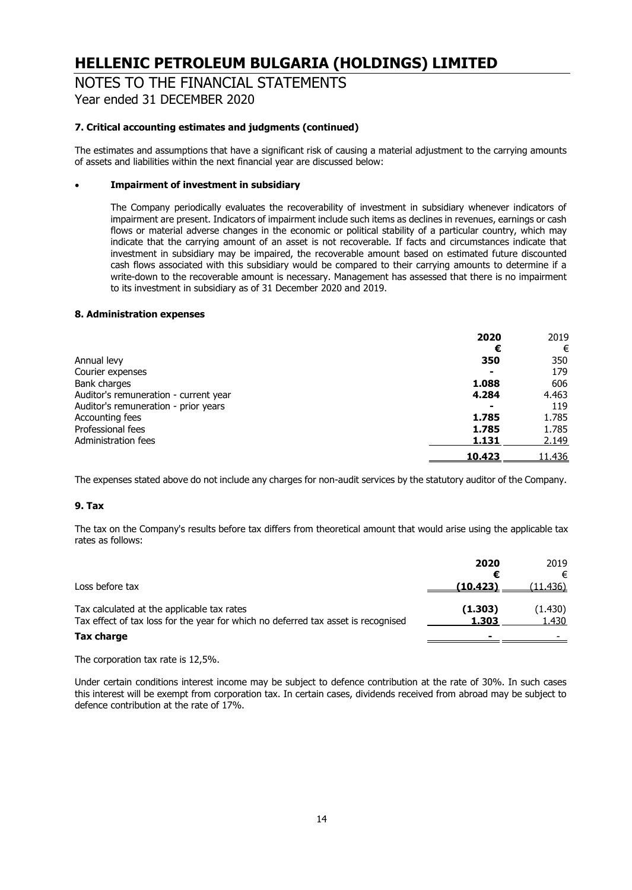### NOTES TO THE FINANCIAL STATEMENTS

Year ended 31 DECEMBER 2020

#### **7. Critical accounting estimates and judgments (continued)**

The estimates and assumptions that have a significant risk of causing a material adjustment to the carrying amounts of assets and liabilities within the next financial year are discussed below:

#### **Impairment of investment in subsidiary**

The Company periodically evaluates the recoverability of investment in subsidiary whenever indicators of impairment are present. Indicators of impairment include such items as declines in revenues, earnings or cash flows or material adverse changes in the economic or political stability of a particular country, which may indicate that the carrying amount of an asset is not recoverable. If facts and circumstances indicate that investment in subsidiary may be impaired, the recoverable amount based on estimated future discounted cash flows associated with this subsidiary would be compared to their carrying amounts to determine if a write-down to the recoverable amount is necessary. Management has assessed that there is no impairment to its investment in subsidiary as of 31 December 2020 and 2019.

#### **8. Administration expenses**

|                                       | 2020   | 2019  |
|---------------------------------------|--------|-------|
|                                       | €      | €     |
| Annual levy                           | 350    | 350   |
| Courier expenses                      |        | 179   |
| Bank charges                          | 1.088  | 606   |
| Auditor's remuneration - current year | 4.284  | 4.463 |
| Auditor's remuneration - prior years  |        | 119   |
| Accounting fees                       | 1.785  | 1.785 |
| Professional fees                     | 1.785  | 1.785 |
| Administration fees                   | 1.131  | 2.149 |
|                                       | 10.423 | 1.436 |

The expenses stated above do not include any charges for non-audit services by the statutory auditor of the Company.

#### **9. Tax**

The tax on the Company's results before tax differs from theoretical amount that would arise using the applicable tax rates as follows:

|                                                                                                                                 | 2020             | 2019             |
|---------------------------------------------------------------------------------------------------------------------------------|------------------|------------------|
| Loss before tax                                                                                                                 | (10.423)         | (11.436)         |
| Tax calculated at the applicable tax rates<br>Tax effect of tax loss for the year for which no deferred tax asset is recognised | (1.303)<br>1.303 | (1.430)<br>1.430 |
| Tax charge                                                                                                                      |                  |                  |

The corporation tax rate is 12,5%.

Under certain conditions interest income may be subject to defence contribution at the rate of 30%. In such cases this interest will be exempt from corporation tax. In certain cases, dividends received from abroad may be subject to defence contribution at the rate of 17%.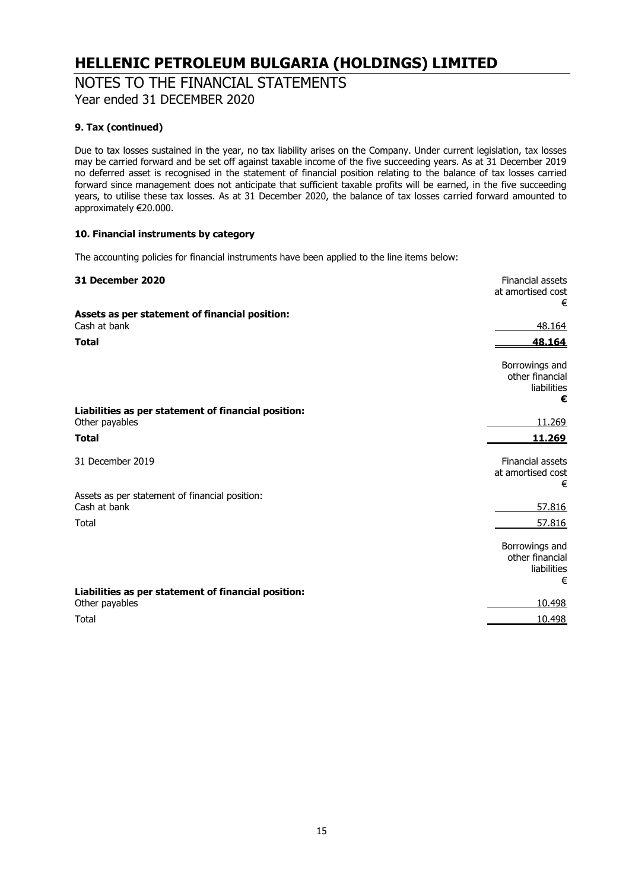NOTES TO THE FINANCIAL STATEMENTS

Year ended 31 DECEMBER 2020

#### **9. Tax (continued)**

Due to tax losses sustained in the year, no tax liability arises on the Company. Under current legislation, tax losses may be carried forward and be set off against taxable income of the five succeeding years. As at 31 December 2019 no deferred asset is recognised in the statement of financial position relating to the balance of tax losses carried forward since management does not anticipate that sufficient taxable profits will be earned, in the five succeeding years, to utilise these tax losses. As at 31 December 2020, the balance of tax losses carried forward amounted to approximately €20.000.

#### **10. Financial instruments by category**

The accounting policies for financial instruments have been applied to the line items below:

| 31 December 2020                                                      | Financial assets                                      |
|-----------------------------------------------------------------------|-------------------------------------------------------|
|                                                                       | at amortised cost                                     |
| Assets as per statement of financial position:                        | €                                                     |
| Cash at bank                                                          | 48.164                                                |
| <b>Total</b>                                                          | 48.164                                                |
|                                                                       | Borrowings and<br>other financial<br>liabilities      |
| Liabilities as per statement of financial position:                   | €                                                     |
| Other payables                                                        | 11.269                                                |
| <b>Total</b>                                                          | 11.269                                                |
| 31 December 2019                                                      | Financial assets<br>at amortised cost<br>€            |
| Assets as per statement of financial position:                        |                                                       |
| Cash at bank                                                          | 57.816                                                |
| Total                                                                 | 57.816                                                |
|                                                                       | Borrowings and<br>other financial<br>liabilities<br>€ |
| Liabilities as per statement of financial position:<br>Other payables | 10.498                                                |
| Total                                                                 | 10.498                                                |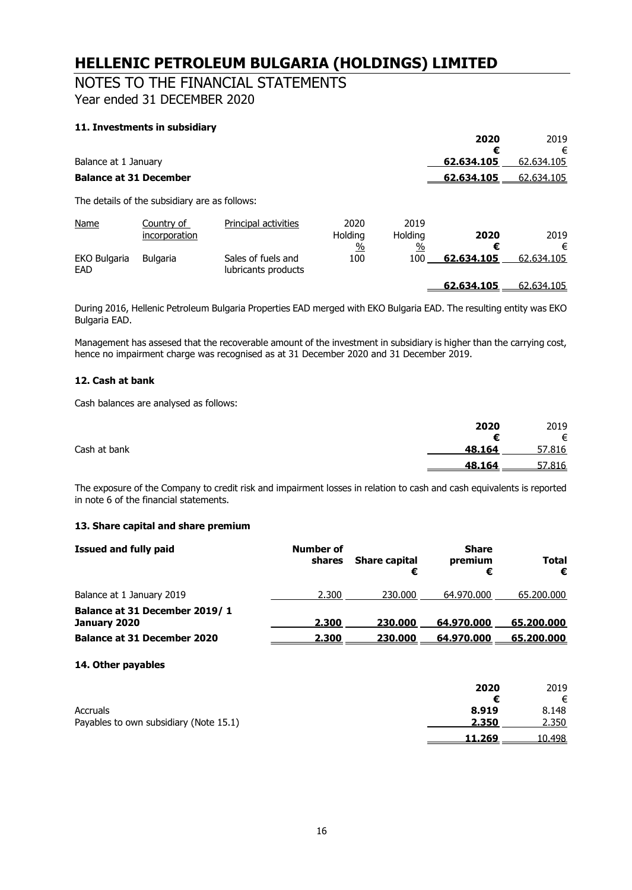# NOTES TO THE FINANCIAL STATEMENTS

Year ended 31 DECEMBER 2020

#### **11. Investments in subsidiary**

|                               |                                               |                      |                      |                 | 2020<br>€       | 2019<br>€       |
|-------------------------------|-----------------------------------------------|----------------------|----------------------|-----------------|-----------------|-----------------|
| Balance at 1 January          |                                               |                      |                      |                 | 62.634.105      | 62.634.105      |
| <b>Balance at 31 December</b> |                                               |                      |                      |                 | 62.634.105      | 62.634.105      |
|                               | The details of the subsidiary are as follows: |                      |                      |                 |                 |                 |
| <b>Name</b>                   | Countrv of<br>incorporation                   | Principal activities | 2020<br>Holdina      | 2019<br>Holdina | 2020            | 2019            |
| <b>EKO Bulgaria</b>           | <b>Bulgaria</b>                               | Sales of fuels and   | $\frac{0}{0}$<br>100 | <u>%</u><br>100 | €<br>62.634.105 | €<br>62.634.105 |
| EAD                           |                                               | lubricants products  |                      |                 |                 |                 |
|                               |                                               |                      |                      |                 | 62.634.105      | 62.634.105      |

During 2016, Hellenic Petroleum Bulgaria Properties EAD merged with EKO Bulgaria EAD. The resulting entity was EKO Bulgaria EAD.

Management has assesed that the recoverable amount of the investment in subsidiary is higher than the carrying cost, hence no impairment charge was recognised as at 31 December 2020 and 31 December 2019.

#### **12. Cash at bank**

Cash balances are analysed as follows:

|              | 2020   | 2019   |
|--------------|--------|--------|
|              | €      | €      |
| Cash at bank | 48.164 | 57.816 |
|              | 48.164 | 57,816 |

The exposure of the Company to credit risk and impairment losses in relation to cash and cash equivalents is reported in note 6 of the financial statements.

#### **13. Share capital and share premium**

| <b>Issued and fully paid</b>                  | Number of<br>shares | <b>Share capital</b><br>€ | <b>Share</b><br>premium<br>€ | <b>Total</b><br>€ |
|-----------------------------------------------|---------------------|---------------------------|------------------------------|-------------------|
| Balance at 1 January 2019                     | 2.300               | 230,000                   | 64.970.000                   | 65,200,000        |
| Balance at 31 December 2019/1<br>January 2020 | 2.300               | 230,000                   | 64.970.000                   | 65,200,000        |
| <b>Balance at 31 December 2020</b>            | 2.300               | 230,000                   | 64.970.000                   | 65,200,000        |

#### **14. Other payables**

|                                        | 2020   | 2019   |
|----------------------------------------|--------|--------|
|                                        |        | €      |
| <b>Accruals</b>                        | 8.919  | 8.148  |
| Payables to own subsidiary (Note 15.1) | 2.350  | 2.350  |
|                                        | 11.269 | 10.498 |